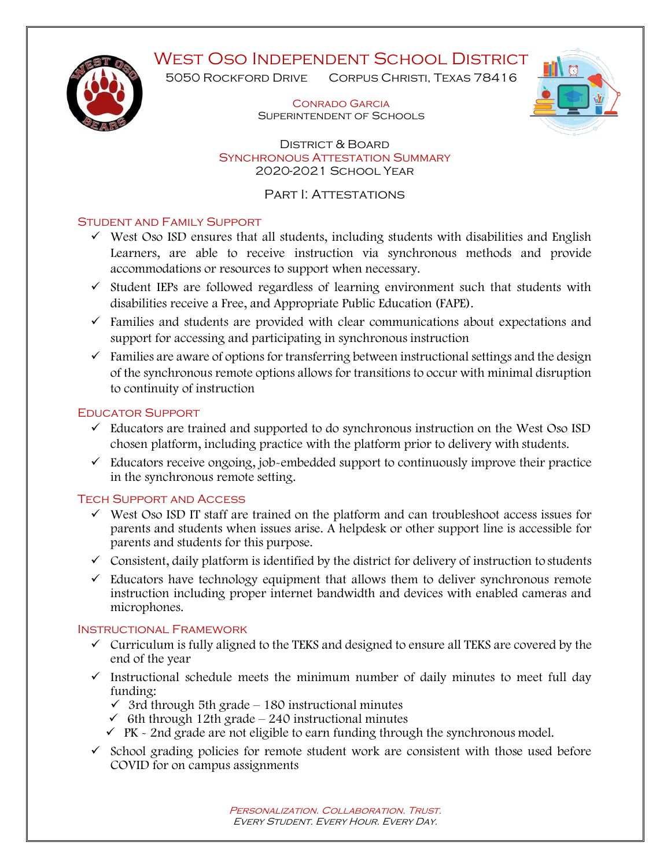# WEST OSO INDEPENDENT SCHOOL DISTRICT



5050 ROCKFORD DRIVE CORPUS CHRISTI, TEXAS 78416

> Conrado Garcia Superintendent of Schools



 District & Board Synchronous Attestation Summary 2020-2021 School Year

PART I: ATTESTATIONS

### Student and Family Support

- ✓ West Oso ISD ensures that all students, including students with disabilities and English Learners, are able to receive instruction via synchronous methods and provide accommodations or resources to support when necessary.
- $\checkmark$  Student IEPs are followed regardless of learning environment such that students with disabilities receive a Free, and Appropriate Public Education (FAPE).
- $\checkmark$  Families and students are provided with clear communications about expectations and support for accessing and participating in synchronous instruction
- $\checkmark$  Families are aware of options for transferring between instructional settings and the design of the synchronous remote options allows for transitions to occur with minimal disruption to continuity of instruction

#### Educator Support

- $\checkmark$  Educators are trained and supported to do synchronous instruction on the West Oso ISD chosen platform, including practice with the platform prior to delivery with students.
- $\checkmark$  Educators receive ongoing, job-embedded support to continuously improve their practice in the synchronous remote setting.

### Tech Support and Access

- ✓ West Oso ISD IT staff are trained on the platform and can troubleshoot access issues for parents and students when issues arise. A helpdesk or other support line is accessible for parents and students for this purpose.
- $\checkmark$  Consistent, daily platform is identified by the district for delivery of instruction to students
- $\checkmark$  Educators have technology equipment that allows them to deliver synchronous remote instruction including proper internet bandwidth and devices with enabled cameras and microphones.

#### Instructional Framework

- ✓ Curriculum is fully aligned to the TEKS and designed to ensure all TEKS are covered by the end of the year
- $\checkmark$  Instructional schedule meets the minimum number of daily minutes to meet full day funding:
	- $\checkmark$  3rd through 5th grade 180 instructional minutes
	- $\checkmark$  6th through 12th grade 240 instructional minutes
	- $\checkmark$  PK  $\sim$  2nd grade are not eligible to earn funding through the synchronous model.
- $\checkmark$  School grading policies for remote student work are consistent with those used before COVID for on campus assignments